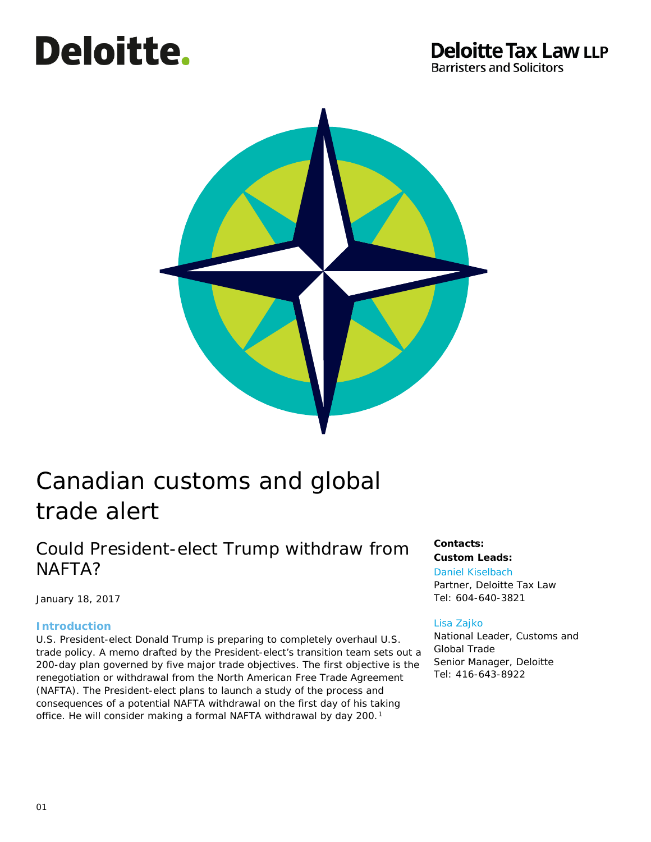# Deloitte.

### **Deloitte Tax Law LLP Barristers and Solicitors**



# Canadian customs and global trade alert

## Could President-elect Trump withdraw from NAFTA?

January 18, 2017

#### **Introduction**

U.S. President-elect Donald Trump is preparing to completely overhaul U.S. trade policy. A memo drafted by the President-elect's transition team sets out a 200-day plan governed by five major trade objectives. The first objective is the renegotiation or withdrawal from the North American Free Trade Agreement (NAFTA). The President-elect plans to launch a study of the process and consequences of a potential NAFTA withdrawal on the first day of his taking office. He will consider making a formal NAFTA withdrawal by day 200.<sup>[1](#page-6-0)</sup>

#### **Contacts: Custom Leads:**

[Daniel Kiselbach](mailto:dkiselbach@deloittetaxlaw.ca) Partner, Deloitte Tax Law Tel: 604-640-3821

#### [Lisa Zajko](mailto:lzajko@deloitte.ca)

National Leader, Customs and Global Trade Senior Manager, Deloitte Tel: 416-643-8922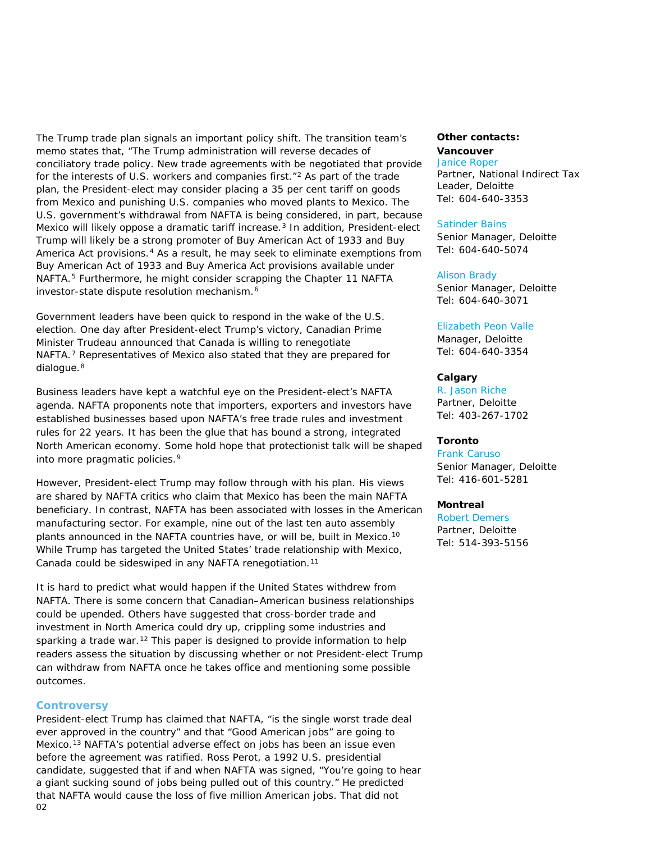The Trump trade plan signals an important policy shift. The transition team's memo states that, "The Trump administration will reverse decades of conciliatory trade policy. New trade agreements with be negotiated that provide for the interests of U.S. workers and companies first."[2](#page-7-0) As part of the trade plan, the President-elect may consider placing a 35 per cent tariff on goods from Mexico and punishing U.S. companies who moved plants to Mexico. The U.S. government's withdrawal from NAFTA is being considered, in part, because Mexico will likely oppose a dramatic tariff increase.<sup>3</sup> In addition, President-elect Trump will likely be a strong promoter of *Buy American Act of 1933* and *Buy America Act* provisions.[4](#page-7-2) As a result, he may seek to eliminate exemptions from *Buy American Act of 1933* and *Buy America Act* provisions available under NAFTA.<sup>[5](#page-7-3)</sup> Furthermore, he might consider scrapping the Chapter 11 NAFTA investor-state dispute resolution mechanism.[6](#page-7-4)

Government leaders have been quick to respond in the wake of the U.S. election. One day after President-elect Trump's victory, Canadian Prime Minister Trudeau announced that Canada is willing to renegotiate NAFTA.[7](#page-7-5) Representatives of Mexico also stated that they are prepared for dialogue.<sup>[8](#page-7-6)</sup>

Business leaders have kept a watchful eye on the President-elect's NAFTA agenda. NAFTA proponents note that importers, exporters and investors have established businesses based upon NAFTA's free trade rules and investment rules for 22 years. It has been the glue that has bound a strong, integrated North American economy. Some hold hope that protectionist talk will be shaped into more pragmatic policies.<sup>[9](#page-7-7)</sup>

However, President-elect Trump may follow through with his plan. His views are shared by NAFTA critics who claim that Mexico has been the main NAFTA beneficiary. In contrast, NAFTA has been associated with losses in the American manufacturing sector. For example, nine out of the last ten auto assembly plants announced in the NAFTA countries have, or will be, built in Mexico.<sup>[10](#page-7-8)</sup> While Trump has targeted the United States' trade relationship with Mexico, Canada could be sideswiped in any NAFTA renegotiation.<sup>[11](#page-7-9)</sup>

It is hard to predict what would happen if the United States withdrew from NAFTA. There is some concern that Canadian–American business relationships could be upended. Others have suggested that cross-border trade and investment in North America could dry up, crippling some industries and sparking a trade war.<sup>[12](#page-7-10)</sup> This paper is designed to provide information to help readers assess the situation by discussing whether or not President-elect Trump can withdraw from NAFTA once he takes office and mentioning some possible outcomes.

#### **Controversy**

 $02$ President-elect Trump has claimed that NAFTA, "is the single worst trade deal ever approved in the country" and that "Good American jobs" are going to Mexico.<sup>[13](#page-7-11)</sup> NAFTA's potential adverse effect on jobs has been an issue even before the agreement was ratified. Ross Perot, a 1992 U.S. presidential candidate, suggested that if and when NAFTA was signed, "You're going to hear a giant sucking sound of jobs being pulled out of this country." He predicted that NAFTA would cause the loss of five million American jobs. That did not

#### **Other contacts:**

#### **Vancouver** [Janice Roper](mailto:jroper@deloitte.ca)

Partner, National Indirect Tax Leader, Deloitte Tel: 604-640-3353

#### [Satinder Bains](mailto:satbains@deloitte.ca)

Senior Manager, Deloitte Tel: 604-640-5074

#### [Alison Brady](mailto:alibrady@deloitte.ca)

Senior Manager, Deloitte Tel: 604-640-3071

#### [Elizabeth Peon Valle](mailto:epeon@deloitte.ca)

Manager, Deloitte Tel: 604-640-3354

#### **Calgary**

[R. Jason Riche](mailto:rriche@deloitte.ca) Partner, Deloitte Tel: 403-267-1702

#### **Toronto**

[Frank Caruso](mailto:fcaruso@deloitte.ca)  Senior Manager, Deloitte Tel: 416-601-5281

#### **Montreal**

[Robert Demers](mailto:rdemers@deloitte.ca) Partner, Deloitte Tel: 514-393-5156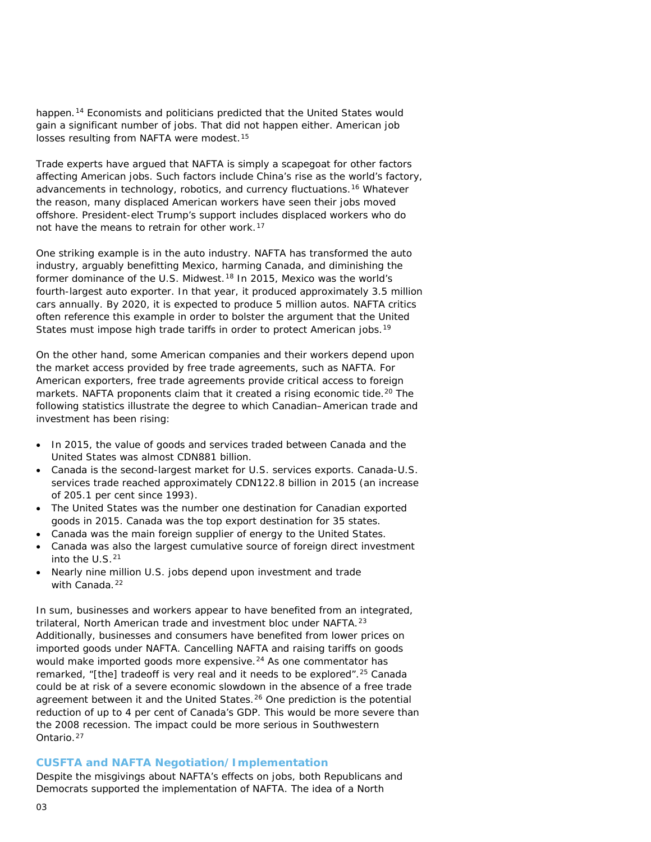happen.<sup>[14](#page-8-0)</sup> Economists and politicians predicted that the United States would gain a significant number of jobs. That did not happen either. American job losses resulting from NAFTA were modest.<sup>[15](#page-8-1)</sup>

Trade experts have argued that NAFTA is simply a scapegoat for other factors affecting American jobs. Such factors include China's rise as the world's factory, advancements in technology, robotics, and currency fluctuations[.16](#page-8-2) Whatever the reason, many displaced American workers have seen their jobs moved offshore. President-elect Trump's support includes displaced workers who do not have the means to retrain for other work.[17](#page-8-3)

One striking example is in the auto industry. NAFTA has transformed the auto industry, arguably benefitting Mexico, harming Canada, and diminishing the former dominance of the U.S. Midwest.[18](#page-8-4) In 2015, Mexico was the world's fourth-largest auto exporter. In that year, it produced approximately 3.5 million cars annually. By 2020, it is expected to produce 5 million autos. NAFTA critics often reference this example in order to bolster the argument that the United States must impose high trade tariffs in order to protect American jobs.<sup>[19](#page-8-5)</sup>

On the other hand, some American companies and their workers depend upon the market access provided by free trade agreements, such as NAFTA. For American exporters, free trade agreements provide critical access to foreign markets. NAFTA proponents claim that it created a rising economic tide.<sup>[20](#page-8-6)</sup> The following statistics illustrate the degree to which Canadian–American trade and investment has been rising:

- In 2015, the value of goods and services traded between Canada and the United States was almost CDN881 billion.
- Canada is the second-largest market for U.S. services exports. Canada-U.S. services trade reached approximately CDN122.8 billion in 2015 (an increase of 205.1 per cent since 1993).
- The United States was the number one destination for Canadian exported goods in 2015. Canada was the top export destination for 35 states.
- Canada was the main foreign supplier of energy to the United States.
- Canada was also the largest cumulative source of foreign direct investment into the U.S.[21](#page-8-7)
- Nearly nine million U.S. jobs depend upon investment and trade with Canada.<sup>[22](#page-8-8)</sup>

In sum, businesses and workers appear to have benefited from an integrated, trilateral, North American trade and investment bloc under NAFTA.[23](#page-8-9) Additionally, businesses and consumers have benefited from lower prices on imported goods under NAFTA. Cancelling NAFTA and raising tariffs on goods would make imported goods more expensive.<sup>[24](#page-8-10)</sup> As one commentator has remarked, "[the] tradeoff is very real and it needs to be explored".<sup>[25](#page-8-11)</sup> Canada could be at risk of a severe economic slowdown in the absence of a free trade agreement between it and the United States.<sup>[26](#page-8-12)</sup> One prediction is the potential reduction of up to 4 per cent of Canada's GDP. This would be more severe than the 2008 recession. The impact could be more serious in Southwestern Ontario.[27](#page-8-13)

#### **CUSFTA and NAFTA Negotiation/Implementation**

Despite the misgivings about NAFTA's effects on jobs, both Republicans and Democrats supported the implementation of NAFTA. The idea of a North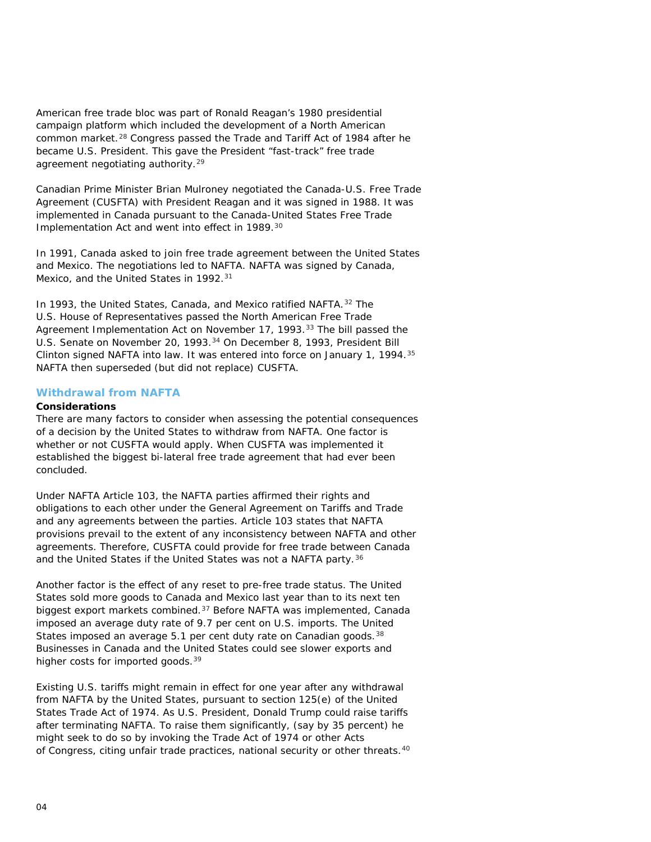American free trade bloc was part of Ronald Reagan's 1980 presidential campaign platform which included the development of a North American common market.[28](#page-9-0) Congress passed the *Trade and Tariff Act of 1984* after he became U.S. President. This gave the President "fast-track" free trade agreement negotiating authority.<sup>[29](#page-9-1)</sup>

Canadian Prime Minister Brian Mulroney negotiated the Canada-U.S. Free Trade Agreement (CUSFTA) with President Reagan and it was signed in 1988. It was implemented in Canada pursuant to the *Canada-United States Free Trade Implementation Act* and went into effect in 1989[.30](#page-9-2)

In 1991, Canada asked to join free trade agreement between the United States and Mexico. The negotiations led to NAFTA. NAFTA was signed by Canada, Mexico, and the United States in 1992.<sup>[31](#page-9-3)</sup>

In 1993, the United States, Canada, and Mexico ratified NAFTA. [32](#page-9-4) The U.S. House of Representatives passed the *North American Free Trade Agreement Implementation Act* on November 17, 1993.[33](#page-9-5) The bill passed the U.S. Senate on November 20, 1993.[34](#page-9-6) On December 8, 1993, President Bill Clinton signed NAFTA into law. It was entered into force on January 1, 1994.[35](#page-9-7) NAFTA then superseded (but did not replace) CUSFTA.

#### **Withdrawal from NAFTA**

#### **Considerations**

There are many factors to consider when assessing the potential consequences of a decision by the United States to withdraw from NAFTA. One factor is whether or not CUSFTA would apply. When CUSFTA was implemented it established the biggest bi-lateral free trade agreement that had ever been concluded.

Under NAFTA Article 103, the NAFTA parties affirmed their rights and obligations to each other under the *General Agreement on Tariffs and Trade* and any agreements between the parties. Article 103 states that NAFTA provisions prevail to the extent of any inconsistency between NAFTA and other agreements. Therefore, CUSFTA could provide for free trade between Canada and the United States if the United States was not a NAFTA party.<sup>[36](#page-9-8)</sup>

Another factor is the effect of any reset to pre-free trade status. The United States sold more goods to Canada and Mexico last year than to its next ten biggest export markets combined.[37](#page-9-9) Before NAFTA was implemented, Canada imposed an average duty rate of 9.7 per cent on U.S. imports. The United States imposed an average 5.1 per cent duty rate on Canadian goods. [38](#page-9-10) Businesses in Canada and the United States could see slower exports and higher costs for imported goods.<sup>[39](#page-9-11)</sup>

Existing U.S. tariffs might remain in effect for one year after any withdrawal from NAFTA by the United States, pursuant to section 125(e) of the United States *Trade Act of 1974.* As U.S. President, Donald Trump could raise tariffs after terminating NAFTA. To raise them significantly, (say by 35 percent) he might seek to do so by invoking the *Trade Act of 1974* or other Acts of Congress, citing unfair trade practices, national security or other threats.[40](#page-9-12)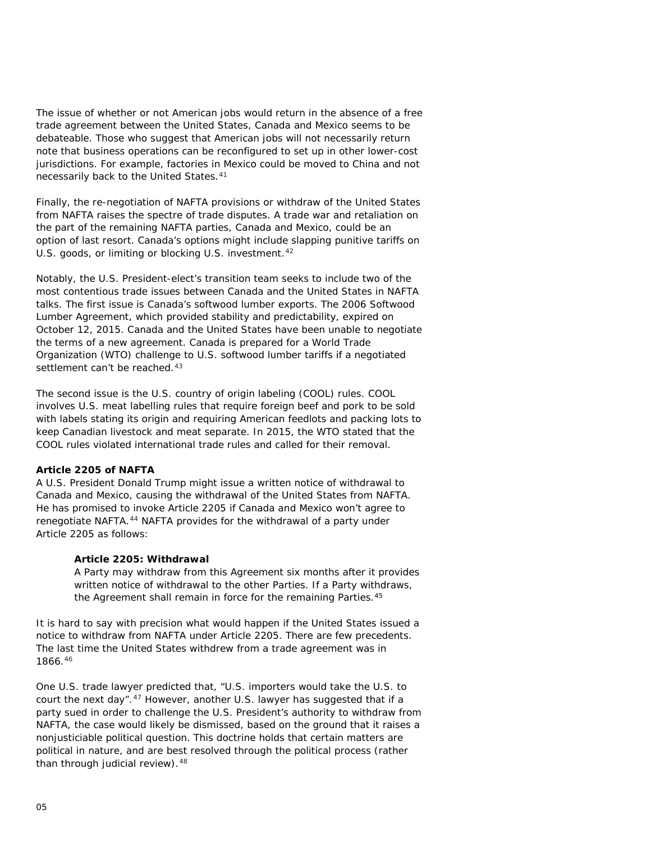The issue of whether or not American jobs would return in the absence of a free trade agreement between the United States, Canada and Mexico seems to be debateable. Those who suggest that American jobs will not necessarily return note that business operations can be reconfigured to set up in other lower-cost jurisdictions. For example, factories in Mexico could be moved to China and not necessarily back to the United States.[41](#page-9-13)

Finally, the re-negotiation of NAFTA provisions or withdraw of the United States from NAFTA raises the spectre of trade disputes. A trade war and retaliation on the part of the remaining NAFTA parties, Canada and Mexico, could be an option of last resort. Canada's options might include slapping punitive tariffs on U.S. goods, or limiting or blocking U.S. investment.<sup>[42](#page-9-14)</sup>

Notably, the U.S. President-elect's transition team seeks to include two of the most contentious trade issues between Canada and the United States in NAFTA talks. The first issue is Canada's softwood lumber exports. The 2006 Softwood Lumber Agreement, which provided stability and predictability, expired on October 12, 2015. Canada and the United States have been unable to negotiate the terms of a new agreement. Canada is prepared for a World Trade Organization (WTO) challenge to U.S. softwood lumber tariffs if a negotiated settlement can't be reached.<sup>[43](#page-9-15)</sup>

The second issue is the U.S. country of origin labeling (COOL) rules. COOL involves U.S. meat labelling rules that require foreign beef and pork to be sold with labels stating its origin and requiring American feedlots and packing lots to keep Canadian livestock and meat separate. In 2015, the WTO stated that the COOL rules violated international trade rules and called for their removal.

#### **Article 2205 of NAFTA**

A U.S. President Donald Trump might issue a written notice of withdrawal to Canada and Mexico, causing the withdrawal of the United States from NAFTA. He has promised to invoke Article 2205 if Canada and Mexico won't agree to renegotiate NAFTA.[44](#page-9-16) NAFTA provides for the withdrawal of a party under Article 2205 as follows:

#### **Article 2205: Withdrawal**

A Party may withdraw from this Agreement six months after it provides written notice of withdrawal to the other Parties. If a Party withdraws, the Agreement shall remain in force for the remaining Parties.<sup>[45](#page-9-17)</sup>

It is hard to say with precision what would happen if the United States issued a notice to withdraw from NAFTA under Article 2205. There are few precedents. The last time the United States withdrew from a trade agreement was in 1866.[46](#page-9-18)

One U.S. trade lawyer predicted that, "U.S. importers would take the U.S. to court the next day". <sup>[47](#page-9-19)</sup> However, another U.S. lawyer has suggested that if a party sued in order to challenge the U.S. President's authority to withdraw from NAFTA, the case would likely be dismissed, based on the ground that it raises a nonjusticiable political question. This doctrine holds that certain matters are political in nature, and are best resolved through the political process (rather than through judicial review). [48](#page-9-20)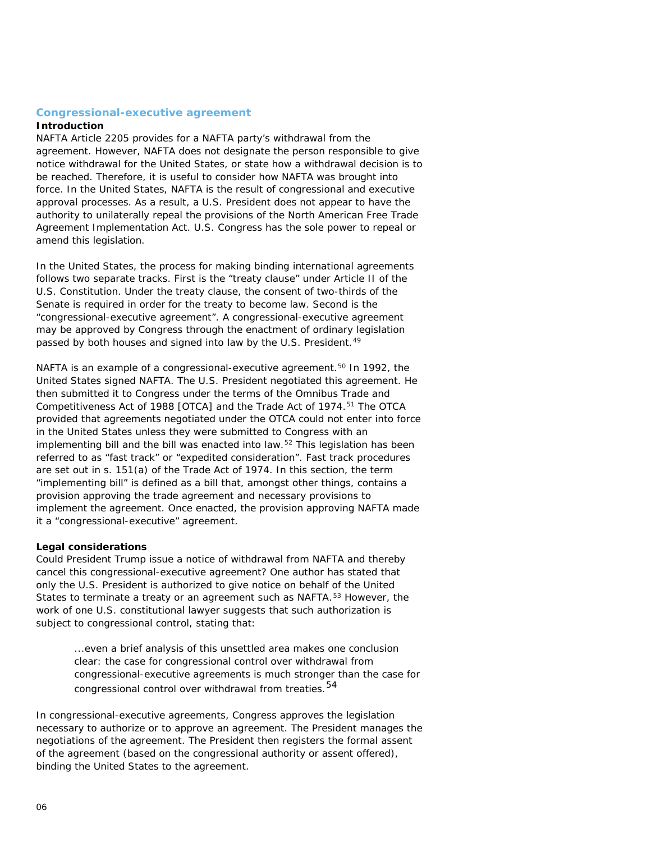#### **Congressional-executive agreement**

#### **Introduction**

NAFTA Article 2205 provides for a NAFTA party's withdrawal from the agreement. However, NAFTA does not designate the person responsible to give notice withdrawal for the United States, or state how a withdrawal decision is to be reached. Therefore, it is useful to consider how NAFTA was brought into force. In the United States, NAFTA is the result of congressional and executive approval processes. As a result, a U.S. President does not appear to have the authority to unilaterally repeal the provisions of the *North American Free Trade Agreement Implementation Act.* U.S. Congress has the sole power to repeal or amend this legislation.

In the United States, the process for making binding international agreements follows two separate tracks. First is the "treaty clause" under Article II of the *U.S. Constitution.* Under the treaty clause, the consent of two-thirds of the Senate is required in order for the treaty to become law. Second is the "congressional-executive agreement". A congressional-executive agreement may be approved by Congress through the enactment of ordinary legislation passed by both houses and signed into law by the U.S. President.<sup>[49](#page-9-21)</sup>

NAFTA is an example of a congressional-executive agreement.<sup>[50](#page-9-22)</sup> In 1992, the United States signed NAFTA. The U.S. President negotiated this agreement. He then submitted it to Congress under the terms of the *Omnibus Trade and Competitiveness Act of 1988 [OTCA]* and the *Trade Act of 1974.*[51](#page-9-23) The *OTCA* provided that agreements negotiated under the OTCA could not enter into force in the United States unless they were submitted to Congress with an implementing bill and the bill was enacted into law.[52](#page-9-24) This legislation has been referred to as "fast track" or "expedited consideration". Fast track procedures are set out in s. 151(a) of the *Trade Act of 1974.* In this section, the term "implementing bill" is defined as a bill that, amongst other things, contains a provision approving the trade agreement and necessary provisions to implement the agreement. Once enacted, the provision approving NAFTA made it a "congressional-executive" agreement.

#### **Legal considerations**

Could President Trump issue a notice of withdrawal from NAFTA and thereby cancel this congressional-executive agreement? One author has stated that only the U.S. President is authorized to give notice on behalf of the United States to terminate a treaty or an agreement such as NAFTA.[53](#page-9-25) However, the work of one U.S. constitutional lawyer suggests that such authorization is subject to congressional control, stating that:

> ...even a brief analysis of this unsettled area makes one conclusion clear: the case for congressional control over withdrawal from congressional-executive agreements is much stronger than the case for congressional control over withdrawal from treaties.<sup>[54](#page-9-26)</sup>

In congressional-executive agreements, Congress approves the legislation necessary to authorize or to approve an agreement. The President manages the negotiations of the agreement. The President then registers the formal assent of the agreement (based on the congressional authority or assent offered), binding the United States to the agreement.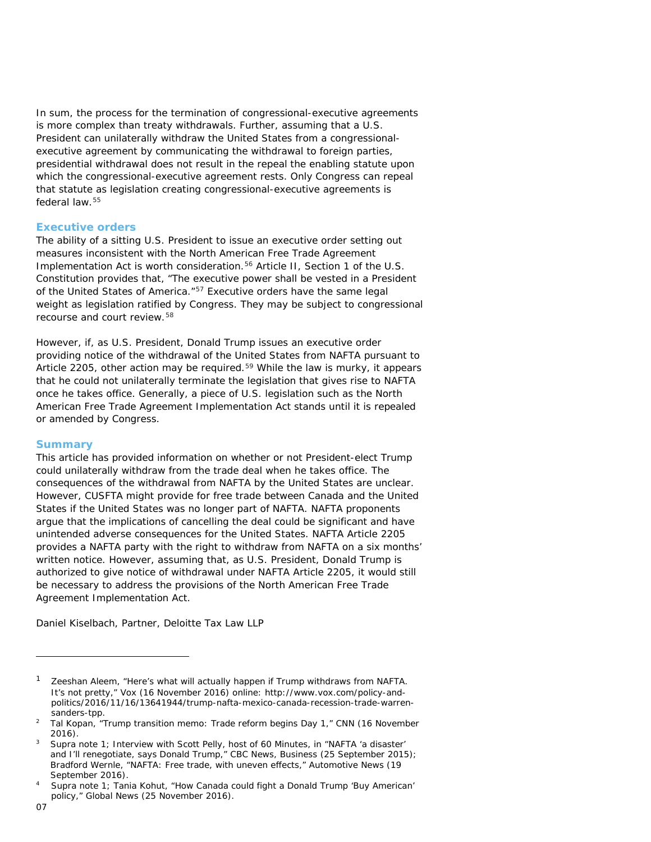In sum, the process for the termination of congressional-executive agreements is more complex than treaty withdrawals. Further, assuming that a U.S. President can unilaterally withdraw the United States from a congressionalexecutive agreement by communicating the withdrawal to foreign parties, presidential withdrawal does not result in the repeal the enabling statute upon which the congressional-executive agreement rests. Only Congress can repeal that statute as legislation creating congressional-executive agreements is federal law.[55](#page-9-27)

#### **Executive orders**

The ability of a sitting U.S. President to issue an executive order setting out measures inconsistent with the *North American Free Trade Agreement Implementation Act* is worth consideration.<sup>[56](#page-9-28)</sup> Article II, Section 1 of the U.S. Constitution provides that, "The executive power shall be vested in a President of the United States of America."[57](#page-9-29) Executive orders have the same legal weight as legislation ratified by Congress. They may be subject to congressional recourse and court review.[58](#page-9-30)

However, if, as U.S. President, Donald Trump issues an executive order providing notice of the withdrawal of the United States from NAFTA pursuant to Article 2205, other action may be required.[59](#page-9-31) While the law is murky, it appears that he could not unilaterally terminate the legislation that gives rise to NAFTA once he takes office. Generally, a piece of U.S. legislation such as the *North American Free Trade Agreement Implementation Act* stands until it is repealed or amended by Congress.

#### **Summary**

This article has provided information on whether or not President-elect Trump could unilaterally withdraw from the trade deal when he takes office. The consequences of the withdrawal from NAFTA by the United States are unclear. However, CUSFTA might provide for free trade between Canada and the United States if the United States was no longer part of NAFTA. NAFTA proponents argue that the implications of cancelling the deal could be significant and have unintended adverse consequences for the United States. NAFTA Article 2205 provides a NAFTA party with the right to withdraw from NAFTA on a six months' written notice. However, assuming that, as U.S. President, Donald Trump is authorized to give notice of withdrawal under NAFTA Article 2205, it would still be necessary to address the provisions of the *North American Free Trade Agreement Implementation Act.*

*Daniel Kiselbach, Partner, Deloitte Tax Law LLP* 

ł

<span id="page-6-0"></span>Zeeshan Aleem, "Here's what will actually happen if Trump withdraws from NAFTA. It's not pretty," Vox (16 November 2016) online: http://www.vox.com/policy-andpolitics/2016/11/16/13641944/trump-nafta-mexico-canada-recession-trade-warrensanders-tpp.

<sup>2</sup> Tal Kopan, "Trump transition memo: Trade reform begins Day 1," CN*N* (16 November 2016).<br>Supra note 1; Interview with Scott Pelly, host of 60 Minutes, in "NAFTA 'a disaster'

and I'll renegotiate, says Donald Trump," *CBC News, Business* (25 September 2015); Bradford Wernle, "NAFTA: Free trade, with uneven effects," *Automotive News* (19 September 2016).

<sup>4</sup> Supra note 1*;* Tania Kohut, "How Canada could fight a Donald Trump 'Buy American' policy," *Global News* (25 November 2016).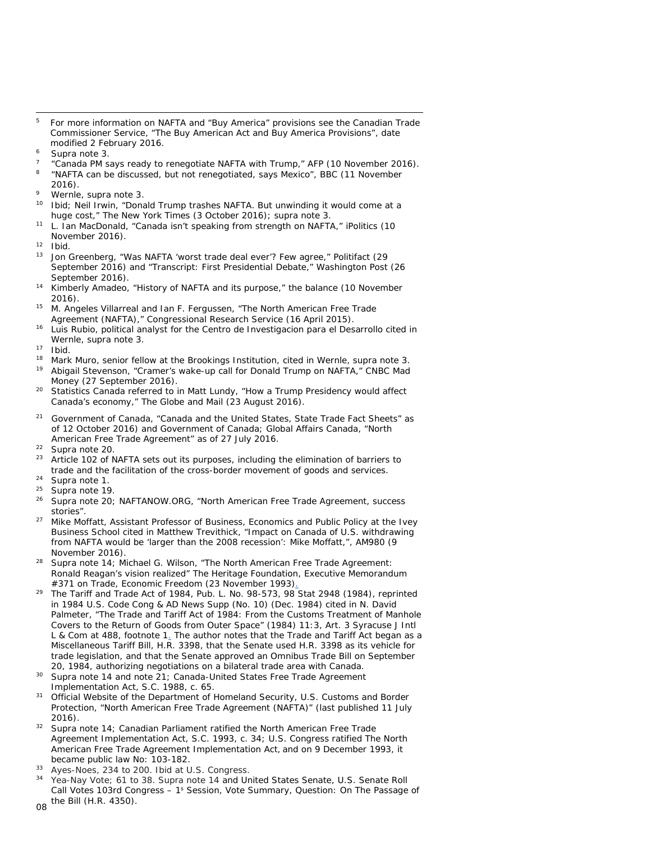- <span id="page-7-3"></span> 5 For more information on NAFTA and "Buy America" provisions see the Canadian Trade Commissioner Service, "The *Buy American Act* and *Buy America* Provisions", date modified 2 February 2016.
- <span id="page-7-4"></span>Supra note 3.
- <span id="page-7-5"></span><sup>7</sup> "Canada PM says ready to renegotiate NAFTA with Trump," *AFP* (10 November 2016). 8 "NAFTA can be discussed, but not renegotiated, says Mexico", *BBC* (11 November
- <span id="page-7-6"></span>2016).
- <span id="page-7-7"></span> $9$  Wernle, supra note 3.<br> $10$  Thid: Noil Invin "Dong
- <span id="page-7-8"></span><sup>10</sup> Ibid; Neil Irwin, "Donald Trump trashes NAFTA. But unwinding it would come at a huge cost," *The New York Times* (3 October 2016); supra note 3.
- <span id="page-7-9"></span><sup>11</sup> L. Ian MacDonald, "Canada isn't speaking from strength on NAFTA," *iPolitics* (10 November 2016).
- <span id="page-7-11"></span><span id="page-7-10"></span> $\frac{12}{13}$  Ibid.
- <sup>13</sup> Jon Greenberg, "Was NAFTA 'worst trade deal ever'? Few agree," *Politifact* (29 September 2016) and "Transcript: First Presidential Debate," *Washington Post* (26 September 2016).
- <sup>14</sup> Kimberly Amadeo, "History of NAFTA and its purpose," *the balance* (10 November 2016).
- <sup>15</sup> M. Angeles Villarreal and Ian F. Fergussen, "The North American Free Trade Agreement (NAFTA)," *Congressional Research Service* (16 April 2015).
- <sup>16</sup> Luis Rubio, political analyst for the Centro de Investigacion para el Desarrollo cited in Wernle*,* supra note 3.
- $17$  Ibid.<br> $18$  Mork
- <sup>18</sup> Mark Muro, senior fellow at the Brookings Institution, cited in Wernle, supra note 3.<br><sup>19</sup> Abigail Staveneon, "Cramer's upleause an eall for Danald Trump on NAFTA", CMRC Mod
- <sup>19</sup> Abigail Stevenson, "Cramer's wake-up call for Donald Trump on NAFTA," *CNBC Mad Money* (27 September 2016).
- <sup>20</sup> Statistics Canada referred to in Matt Lundy, "How a Trump Presidency would affect Canada's economy," *The Globe and Mail* (23 August 2016).
- <sup>21</sup> Government of Canada, "Canada and the United States, State Trade Fact Sheets" as of 12 October 2016) and Government of Canada; Global Affairs Canada, "North American Free Trade Agreement" as of 27 July 2016.
- <sup>22</sup> Supra note 20.<br> $^{23}$  Article 102 of N
- Article 102 of NAFTA sets out its purposes, including the elimination of barriers to trade and the facilitation of the cross-border movement of goods and services.
- $^{24}$  Supra note 1.<br> $^{25}$  Supra note 10
- Supra note 19.
- <sup>26</sup> Supra note 20; NAFTANOW.ORG, "North American Free Trade Agreement, success stories".
- <sup>27</sup> Mike Moffatt, Assistant Professor of Business, Economics and Public Policy at the Ivey Business School cited in Matthew Trevithick, "Impact on Canada of U.S. withdrawing from NAFTA would be 'larger than the 2008 recession': Mike Moffatt,", *AM980* (9 November 2016).
- Supra note 14; Michael G. Wilson, "The North American Free Trade Agreement: Ronald Reagan's vision realized" *The Heritage Foundation, Executive Memorandum #371 on Trade, Economic Freedom* (23 November 1993).
- <sup>29</sup> The *Tariff and Trade Act of 1984,* Pub. L. No. 98-573, 98 Stat 2948 (1984), reprinted in 1984 U.S. Code Cong & AD News Supp (No. 10) (Dec. 1984) cited in N. David Palmeter, "*The Trade and Tariff Act of 1984*: From the Customs Treatment of Manhole Covers to the Return of Goods from Outer Space" (1984) 11:3, Art. 3 Syracuse J Intl L & Com at 488, footnote 1. The author notes that the *Trade and Tariff Act* began as a *Miscellaneous Tariff Bill*, H.R. 3398, that the Senate used H.R. 3398 as its vehicle for trade legislation, and that the Senate approved an Omnibus Trade Bill on September 20, 1984, authorizing negotiations on a bilateral trade area with Canada.
- <sup>30</sup> Supra note 14 and note 21; *Canada-United States Free Trade Agreement Implementation Act,* S.C. 1988, c. 65.
- <sup>31</sup> Official Website of the Department of Homeland Security, U.S. Customs and Border Protection, "North American Free Trade Agreement (NAFTA)" (last published 11 July 2016).
- <span id="page-7-1"></span><span id="page-7-0"></span><sup>32</sup> Supra note 14; Canadian Parliament ratified the *North American Free Trade Agreement Implementation Act,* S.C. 1993, c. 34; U.S. Congress ratified *The North American Free Trade Agreement Implementation Act*, and on 9 December 1993, it became public law No: 103-182.
- $33$  Ayes-Noes, 234 to 200. Ibid at U.S. Congress.<br> $34$  Yes Nov Vote:  $61$  to 28. Supra pate 14 and Up
- <span id="page-7-2"></span><sup>34</sup> Yea-Nay Vote; 61 to 38. Supra note 14 and United States Senate, U.S. Senate Roll Call Votes 103rd Congress – 1s Session, Vote Summary, Question: On The Passage of the Bill (H.R. 4350).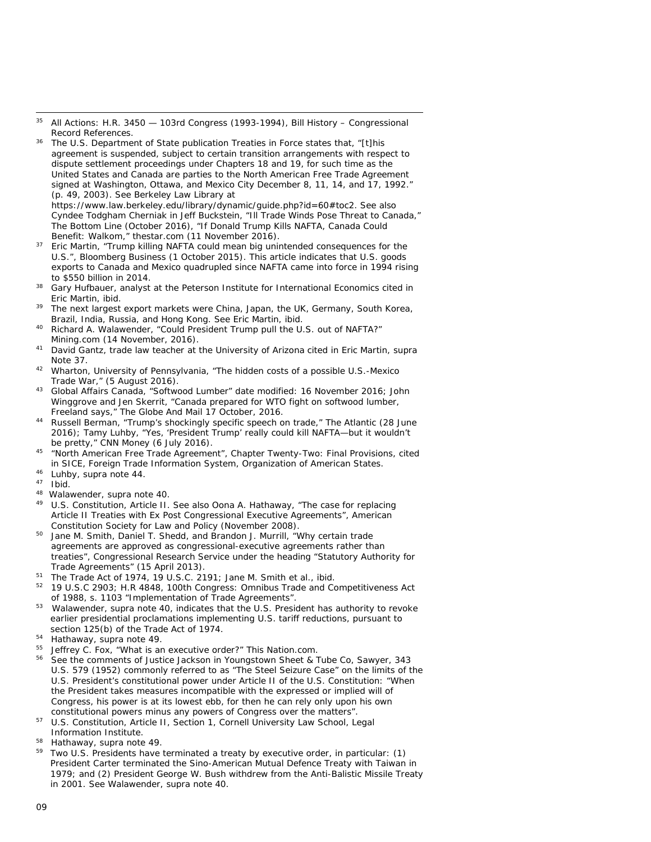- 35 All Actions: H.R. 3450 103rd Congress (1993-1994), Bill History Congressional Record References.
- <sup>36</sup> The U.S. Department of State publication *Treaties in Force* states that, "[t]his agreement is suspended, subject to certain transition arrangements with respect to dispute settlement proceedings under Chapters 18 and 19, for such time as the United States and Canada are parties to the North American Free Trade Agreement signed at Washington, Ottawa, and Mexico City December 8, 11, 14, and 17, 1992." (p. 49, 2003). See Berkeley Law Library at

https://www.law.berkeley.edu/library/dynamic/guide.php?id=60#toc2. See also Cyndee Todgham Cherniak in Jeff Buckstein, "Ill Trade Winds Pose Threat to Canada," *The Bottom Line* (October 2016), "If Donald Trump Kills NAFTA, Canada Could Benefit: Walkom," *thestar.com* (11 November 2016).

- <sup>37</sup> Eric Martin, "Trump killing NAFTA could mean big unintended consequences for the U.S.", Bloomberg Business (1 October 2015). This article indicates that U.S. goods exports to Canada and Mexico quadrupled since NAFTA came into force in 1994 rising to \$550 billion in 2014.
- <span id="page-8-0"></span>Gary Hufbauer, analyst at the Peterson Institute for International Economics cited in Eric Martin, ibid.
- <span id="page-8-1"></span>The next largest export markets were China, Japan, the UK, Germany, South Korea, Brazil, India, Russia, and Hong Kong. See Eric Martin, ibid.
- <span id="page-8-2"></span><sup>40</sup> Richard A. Walawender, "Could President Trump pull the U.S. out of NAFTA?" *Mining.com* (14 November, 2016).
- <span id="page-8-3"></span><sup>41</sup> David Gantz, trade law teacher at the University of Arizona cited in Eric Martin, supra Note 37.
- <span id="page-8-5"></span><span id="page-8-4"></span><sup>42</sup> Wharton, University of Pennsylvania, "The hidden costs of a possible U.S.-Mexico Trade War," (5 August 2016).
- <span id="page-8-6"></span><sup>43</sup> *Global Affairs Canada*, "Softwood Lumber" date modified: 16 November 2016; John Winggrove and Jen Skerrit, "Canada prepared for WTO fight on softwood lumber, Freeland says," The Globe And Mail 17 October, 2016.
- <span id="page-8-7"></span>Russell Berman, "Trump's shockingly specific speech on trade," *The Atlantic* (28 June 2016); Tamy Luhby, "Yes, 'President Trump' really could kill NAFTA—but it wouldn't be pretty," *CNN Money* (6 July 2016).
- <span id="page-8-9"></span><span id="page-8-8"></span><sup>45</sup> "North American Free Trade Agreement", Chapter Twenty-Two: Final Provisions, cited in *SICE, Foreign Trade Information System, Organization of American States.*
- <span id="page-8-10"></span> $46$  Luhby, supra note 44.
- <sup>47</sup> Ibid.
- <span id="page-8-11"></span><sup>48</sup> Walawender, supra note 40.<br><sup>49</sup> *U.S. Constitution* Article II.
- <span id="page-8-12"></span><sup>49</sup> *U.S. Constitution,* Article II. See also Oona A. Hathaway, "The case for replacing Article II Treaties with Ex Post Congressional Executive Agreements", *American Constitution Society for Law and Policy* (November 2008).
- <span id="page-8-13"></span><sup>50</sup> Jane M. Smith, Daniel T. Shedd, and Brandon J. Murrill, "Why certain trade agreements are approved as congressional-executive agreements rather than treaties", *Congressional Research Service* under the heading "Statutory Authority for Trade Agreements" (15 April 2013).
- <sup>51</sup> The *Trade Act of 1974,* 19 U.S.C. 2191; Jane M. Smith et al., ibid.
- <sup>52</sup> 19 U.S.C 2903; H.R 4848, 100th Congress: *Omnibus Trade and Competitiveness Act of 1988,* s. 1103 "Implementation of Trade Agreements".
- <sup>53</sup> Walawender, supra note 40, indicates that the U.S. President has authority to revoke earlier presidential proclamations implementing U.S. tariff reductions, pursuant to section 125(b) of the *Trade Act of 1974.*
- <sup>54</sup> Hathaway, supra note 49.
- <sup>55</sup> Jeffrey C. Fox, "What is an executive order?" *This Nation.com*.
- <sup>56</sup> See the comments of Justice Jackson in *Youngstown Sheet & Tube Co, Sawyer*, 343 U.S. 579 (1952) commonly referred to as "The Steel Seizure Case" on the limits of the U.S. President's constitutional power under Article II of the U.S. Constitution: "When the President takes measures incompatible with the expressed or implied will of Congress, his power is at its lowest ebb, for then he can rely only upon his own constitutional powers minus any powers of Congress over the matters".
- <sup>57</sup> *U.S. Constitution*, Article II, Section 1, *Cornell University Law School, Legal Information Institute*.
- $58$  Hathaway, supra note 49.
- Two U.S. Presidents have terminated a treaty by executive order, in particular: (1) President Carter terminated the Sino-American Mutual Defence Treaty with Taiwan in 1979; and (2) President George W. Bush withdrew from the Anti-Balistic Missile Treaty in 2001. See Walawender, supra note 40.